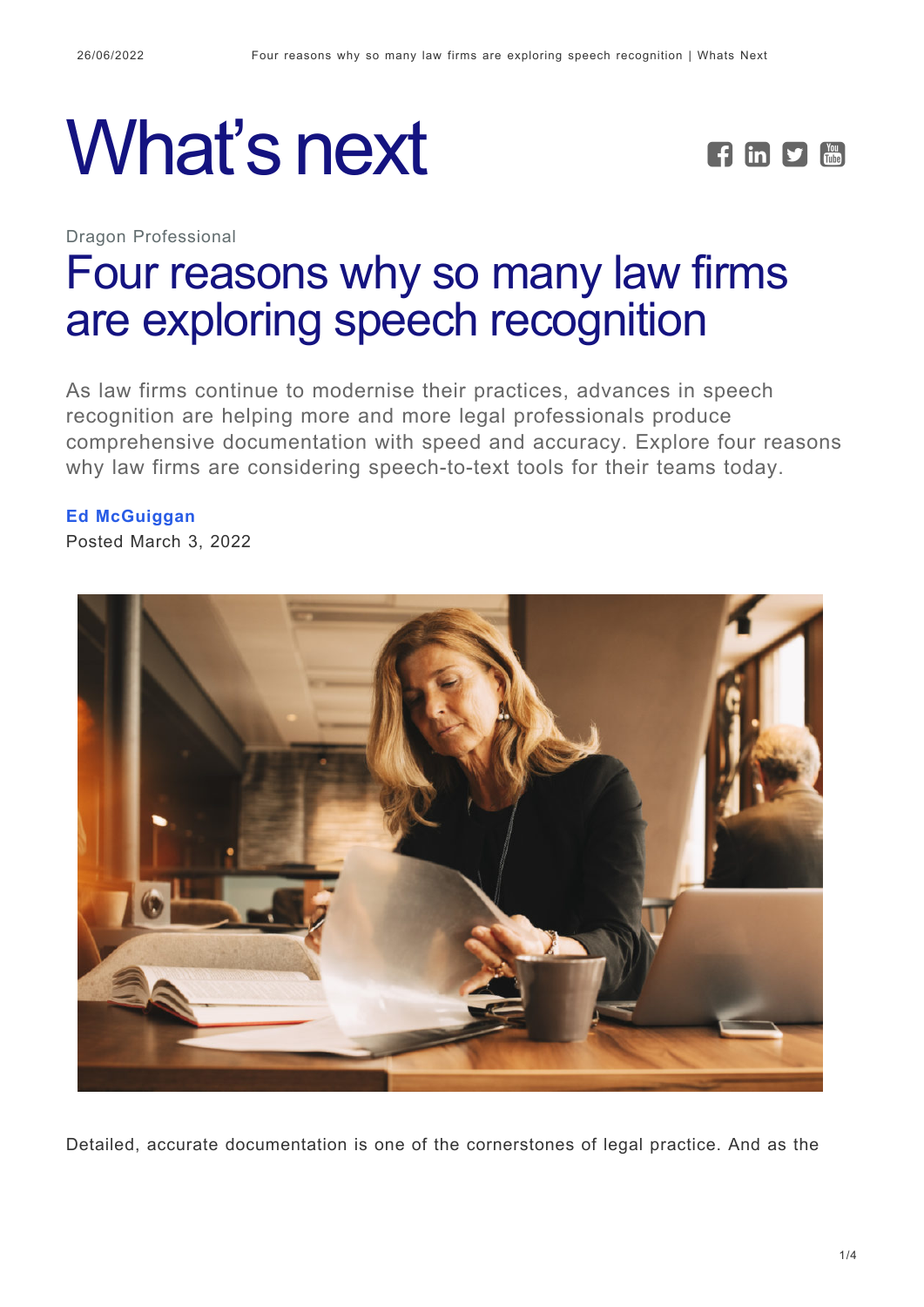





# [Four reasons why so many law firms](https://whatsnext.nuance.com/en-au/dragon-professional/four-reasons-law-firms-are-exploring-speech-recognition/) [are exploring speech recognition](https://whatsnext.nuance.com/en-au/dragon-professional/four-reasons-law-firms-are-exploring-speech-recognition/)

As law firms continue to modernise their practices, advances in speech recognition are helping more and more legal professionals produce comprehensive documentation with speed and accuracy. Explore four reasons why law firms are considering speech-to-text tools for their teams today.

#### **[Ed McGuiggan](https://whatsnext.nuance.com/en-au/author/edmcguiggan/)**

Posted March 3, 2022



Detailed, accurate documentation is one of the cornerstones of legal practice. And as the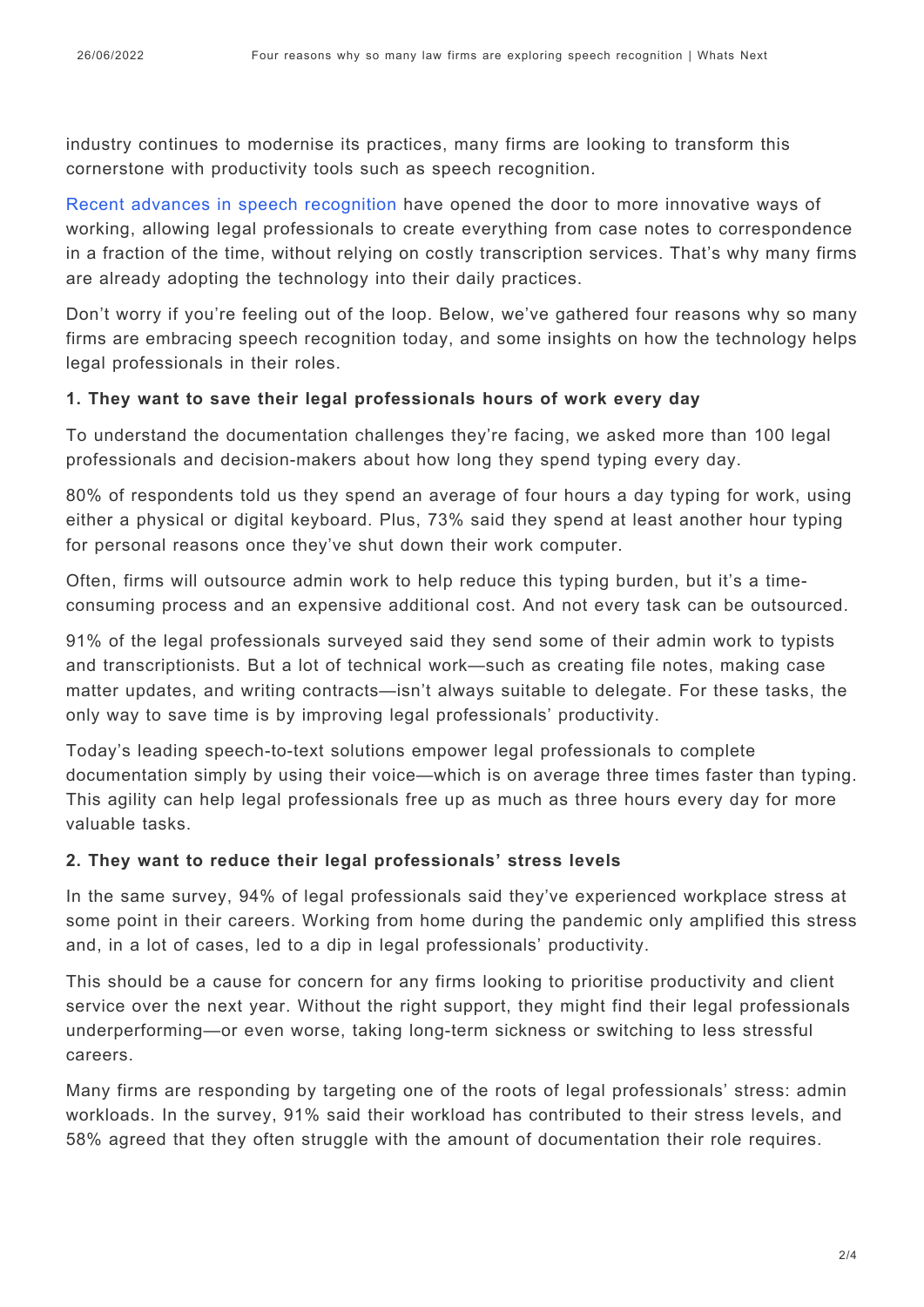industry continues to modernise its practices, many firms are looking to transform this cornerstone with productivity tools such as speech recognition.

[Recent advances in speech recognition](https://www.nuance.com/en-au/dragon/campaign/dragon-legal-hub.html) have opened the door to more innovative ways of working, allowing legal professionals to create everything from case notes to correspondence in a fraction of the time, without relying on costly transcription services. That's why many firms are already adopting the technology into their daily practices.

Don't worry if you're feeling out of the loop. Below, we've gathered four reasons why so many firms are embracing speech recognition today, and some insights on how the technology helps legal professionals in their roles.

#### **1. They want to save their legal professionals hours of work every day**

To understand the documentation challenges they're facing, we asked more than 100 legal professionals and decision-makers about how long they spend typing every day.

80% of respondents told us they spend an average of four hours a day typing for work, using either a physical or digital keyboard. Plus, 73% said they spend at least another hour typing for personal reasons once they've shut down their work computer.

Often, firms will outsource admin work to help reduce this typing burden, but it's a timeconsuming process and an expensive additional cost. And not every task can be outsourced.

91% of the legal professionals surveyed said they send some of their admin work to typists and transcriptionists. But a lot of technical work—such as creating file notes, making case matter updates, and writing contracts—isn't always suitable to delegate. For these tasks, the only way to save time is by improving legal professionals' productivity.

Today's leading speech-to-text solutions empower legal professionals to complete documentation simply by using their voice—which is on average three times faster than typing. This agility can help legal professionals free up as much as three hours every day for more valuable tasks.

### **2. They want to reduce their legal professionals' stress levels**

In the same survey, 94% of legal professionals said they've experienced workplace stress at some point in their careers. Working from home during the pandemic only amplified this stress and, in a lot of cases, led to a dip in legal professionals' productivity.

This should be a cause for concern for any firms looking to prioritise productivity and client service over the next year. Without the right support, they might find their legal professionals underperforming—or even worse, taking long-term sickness or switching to less stressful careers.

Many firms are responding by targeting one of the roots of legal professionals' stress: admin workloads. In the survey, 91% said their workload has contributed to their stress levels, and 58% agreed that they often struggle with the amount of documentation their role requires.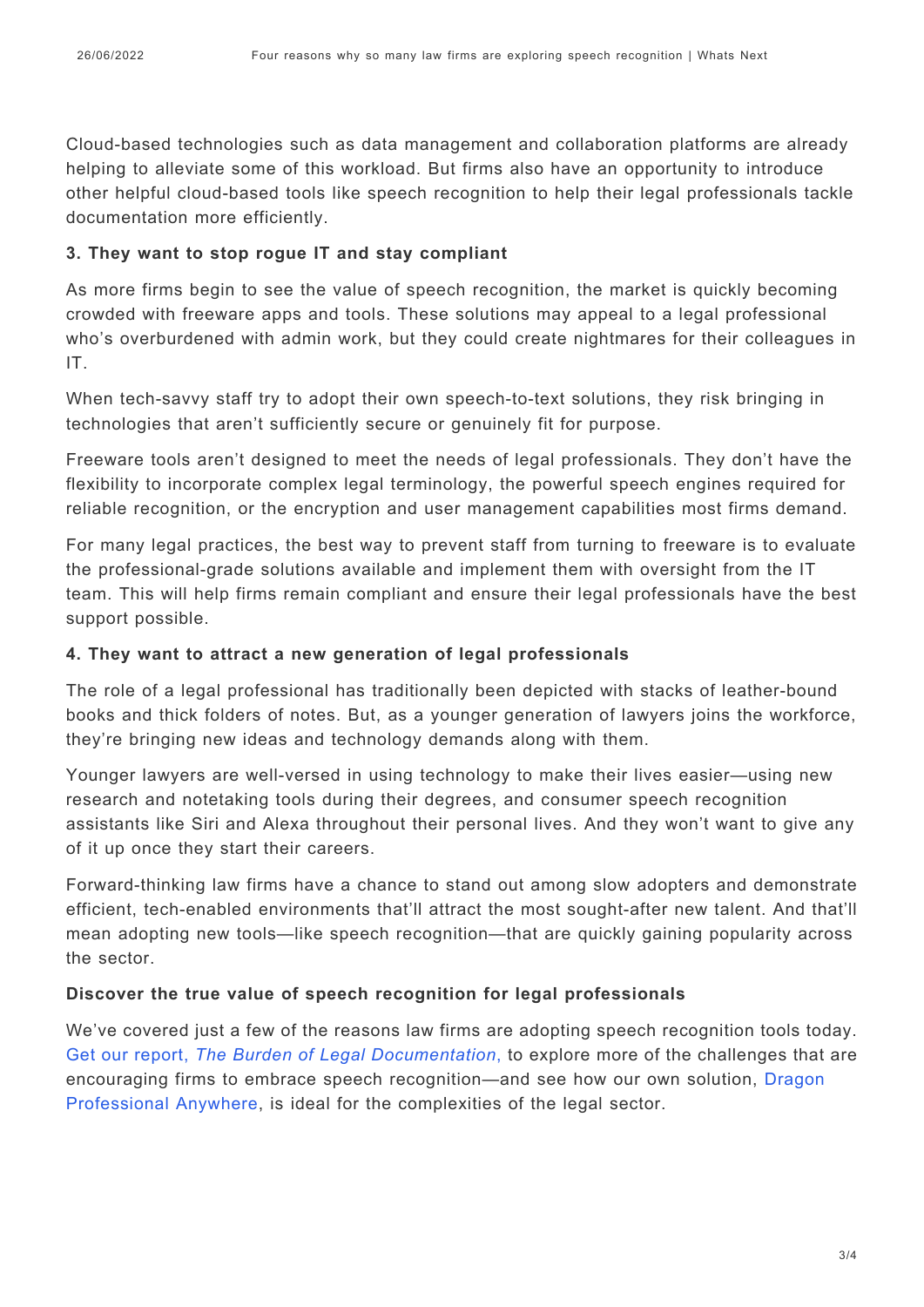Cloud-based technologies such as data management and collaboration platforms are already helping to alleviate some of this workload. But firms also have an opportunity to introduce other helpful cloud-based tools like speech recognition to help their legal professionals tackle documentation more efficiently.

#### **3. They want to stop rogue IT and stay compliant**

As more firms begin to see the value of speech recognition, the market is quickly becoming crowded with freeware apps and tools. These solutions may appeal to a legal professional who's overburdened with admin work, but they could create nightmares for their colleagues in IT.

When tech-savvy staff try to adopt their own speech-to-text solutions, they risk bringing in technologies that aren't sufficiently secure or genuinely fit for purpose.

Freeware tools aren't designed to meet the needs of legal professionals. They don't have the flexibility to incorporate complex legal terminology, the powerful speech engines required for reliable recognition, or the encryption and user management capabilities most firms demand.

For many legal practices, the best way to prevent staff from turning to freeware is to evaluate the professional-grade solutions available and implement them with oversight from the IT team. This will help firms remain compliant and ensure their legal professionals have the best support possible.

#### **4. They want to attract a new generation of legal professionals**

The role of a legal professional has traditionally been depicted with stacks of leather-bound books and thick folders of notes. But, as a younger generation of lawyers joins the workforce, they're bringing new ideas and technology demands along with them.

Younger lawyers are well-versed in using technology to make their lives easier—using new research and notetaking tools during their degrees, and consumer speech recognition assistants like Siri and Alexa throughout their personal lives. And they won't want to give any of it up once they start their careers.

Forward-thinking law firms have a chance to stand out among slow adopters and demonstrate efficient, tech-enabled environments that'll attract the most sought-after new talent. And that'll mean adopting new tools—like speech recognition—that are quickly gaining popularity across the sector.

### **Discover the true value of speech recognition for legal professionals**

We've covered just a few of the reasons law firms are adopting speech recognition tools today. [Get our report,](https://www.nuance.com/en-au/dragon/campaign/white-paper/legal-survey-report.html?cid=7016T000002LW5MQAW&utm_campaign=ADD-WL-2022-LegalSurveyReport-DigitalSurround&utm_medium=Organic&utm_source=whats_next) *[The Burden of Legal Documentation](https://www.nuance.com/en-au/dragon/campaign/white-paper/legal-survey-report.html?cid=7016T000002LW5MQAW&utm_campaign=ADD-WL-2022-LegalSurveyReport-DigitalSurround&utm_medium=Organic&utm_source=whats_next)*[,](https://www.nuance.com/en-au/dragon/campaign/white-paper/legal-survey-report.html?cid=7016T000002LW5MQAW&utm_campaign=ADD-WL-2022-LegalSurveyReport-DigitalSurround&utm_medium=Organic&utm_source=whats_next) to explore more of the challenges that are encouraging firms to embrace speech recognition—and see how our own solution, [Dragon](https://www.nuance.com/en-au/dragon/business-solutions/dragon-professional-anywhere.html) [Professional Anywhere,](https://www.nuance.com/en-au/dragon/business-solutions/dragon-professional-anywhere.html) is ideal for the complexities of the legal sector.